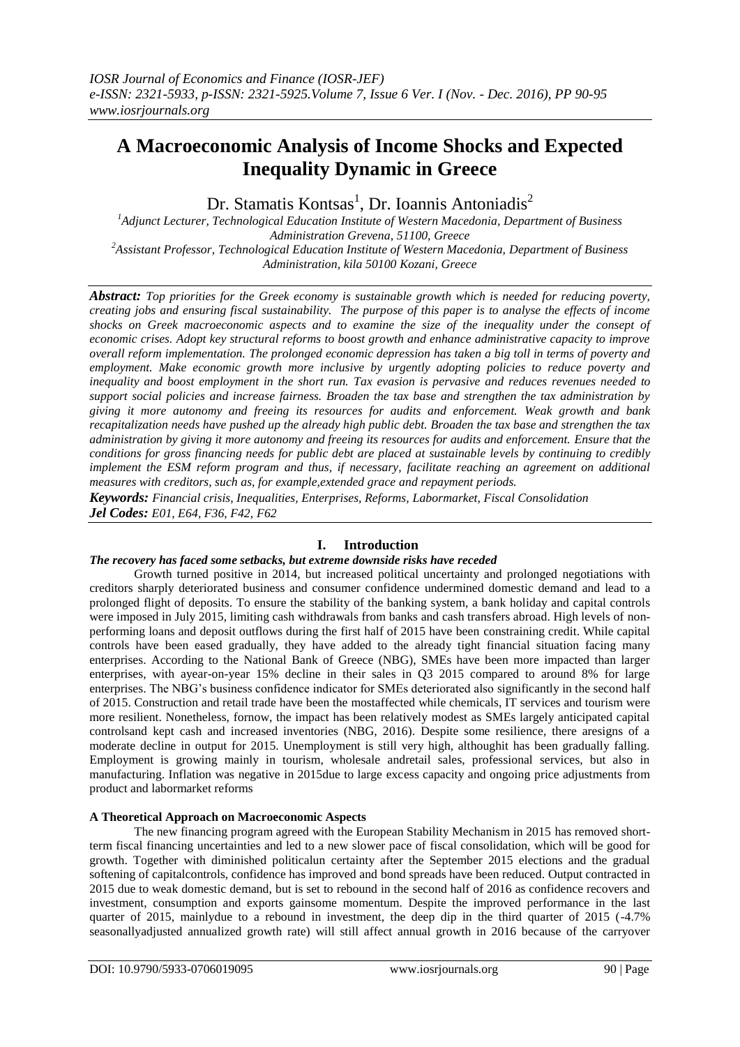# **A Macroeconomic Analysis of Income Shocks and Expected Inequality Dynamic in Greece**

Dr. Stamatis Kontsas<sup>1</sup>, Dr. Ioannis Antoniadis<sup>2</sup>

*<sup>1</sup>Adjunct Lecturer, Technological Education Institute of Western Macedonia, Department of Business Administration Grevena, 51100, Greece <sup>2</sup>Assistant Professor, Technological Education Institute of Western Macedonia, Department of Business Administration, kila 50100 Kozani, Greece*

*Abstract: Top priorities for the Greek economy is sustainable growth which is needed for reducing poverty, creating jobs and ensuring fiscal sustainability. The purpose of this paper is to analyse the effects of income shocks on Greek macroeconomic aspects and to examine the size of the inequality under the consept of economic crises. Adopt key structural reforms to boost growth and enhance administrative capacity to improve overall reform implementation. The prolonged economic depression has taken a big toll in terms of poverty and employment. Make economic growth more inclusive by urgently adopting policies to reduce poverty and inequality and boost employment in the short run. Tax evasion is pervasive and reduces revenues needed to support social policies and increase fairness. Broaden the tax base and strengthen the tax administration by giving it more autonomy and freeing its resources for audits and enforcement. Weak growth and bank recapitalization needs have pushed up the already high public debt. Broaden the tax base and strengthen the tax administration by giving it more autonomy and freeing its resources for audits and enforcement. Ensure that the conditions for gross financing needs for public debt are placed at sustainable levels by continuing to credibly implement the ESM reform program and thus, if necessary, facilitate reaching an agreement on additional measures with creditors, such as, for example,extended grace and repayment periods.*

*Keywords: Financial crisis, Inequalities, Enterprises, Reforms, Labormarket, Fiscal Consolidation Jel Codes: E01, E64, F36, F42, F62*

# **I. Introduction**

#### *The recovery has faced some setbacks, but extreme downside risks have receded*

Growth turned positive in 2014, but increased political uncertainty and prolonged negotiations with creditors sharply deteriorated business and consumer confidence undermined domestic demand and lead to a prolonged flight of deposits. To ensure the stability of the banking system, a bank holiday and capital controls were imposed in July 2015, limiting cash withdrawals from banks and cash transfers abroad. High levels of nonperforming loans and deposit outflows during the first half of 2015 have been constraining credit. While capital controls have been eased gradually, they have added to the already tight financial situation facing many enterprises. According to the National Bank of Greece (NBG), SMEs have been more impacted than larger enterprises, with ayear-on-year 15% decline in their sales in Q3 2015 compared to around 8% for large enterprises. The NBG"s business confidence indicator for SMEs deteriorated also significantly in the second half of 2015. Construction and retail trade have been the mostaffected while chemicals, IT services and tourism were more resilient. Nonetheless, fornow, the impact has been relatively modest as SMEs largely anticipated capital controlsand kept cash and increased inventories (NBG, 2016). Despite some resilience, there aresigns of a moderate decline in output for 2015. Unemployment is still very high, althoughit has been gradually falling. Employment is growing mainly in tourism, wholesale andretail sales, professional services, but also in manufacturing. Inflation was negative in 2015due to large excess capacity and ongoing price adjustments from product and labormarket reforms

# **A Theoretical Approach on Macroeconomic Aspects**

The new financing program agreed with the European Stability Mechanism in 2015 has removed shortterm fiscal financing uncertainties and led to a new slower pace of fiscal consolidation, which will be good for growth. Together with diminished politicalun certainty after the September 2015 elections and the gradual softening of capitalcontrols, confidence has improved and bond spreads have been reduced. Output contracted in 2015 due to weak domestic demand, but is set to rebound in the second half of 2016 as confidence recovers and investment, consumption and exports gainsome momentum. Despite the improved performance in the last quarter of 2015, mainlydue to a rebound in investment, the deep dip in the third quarter of 2015 (-4.7% seasonallyadjusted annualized growth rate) will still affect annual growth in 2016 because of the carryover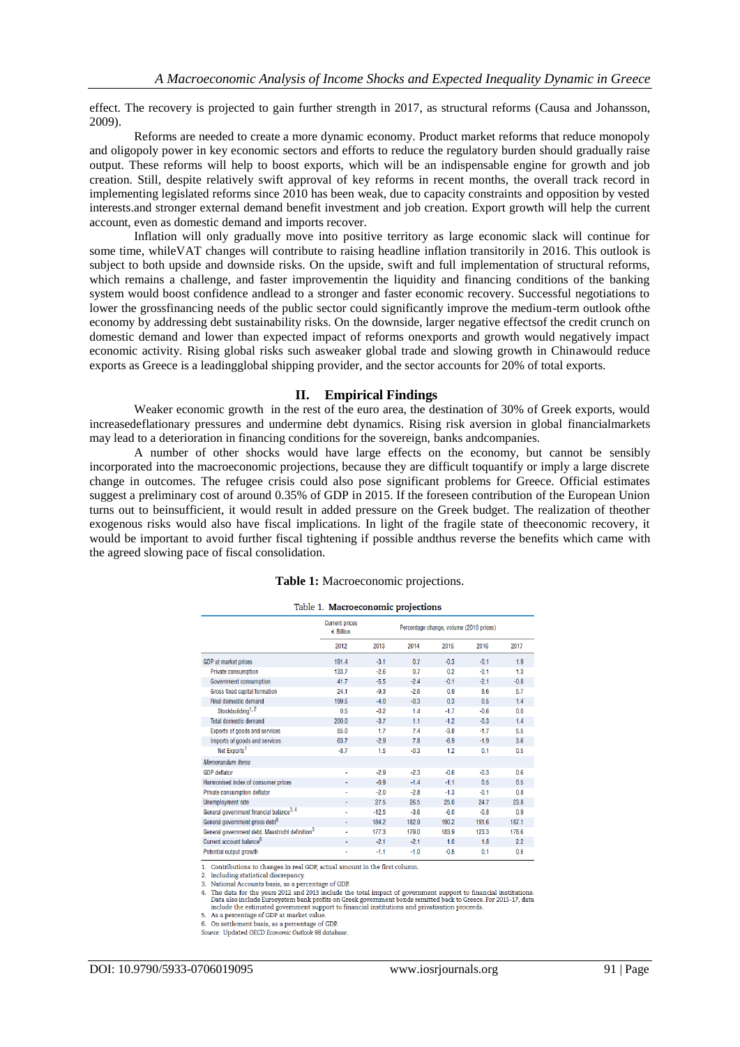effect. The recovery is projected to gain further strength in 2017, as structural reforms (Causa and Johansson, 2009).

Reforms are needed to create a more dynamic economy. Product market reforms that reduce monopoly and oligopoly power in key economic sectors and efforts to reduce the regulatory burden should gradually raise output. These reforms will help to boost exports, which will be an indispensable engine for growth and job creation. Still, despite relatively swift approval of key reforms in recent months, the overall track record in implementing legislated reforms since 2010 has been weak, due to capacity constraints and opposition by vested interests.and stronger external demand benefit investment and job creation. Export growth will help the current account, even as domestic demand and imports recover.

Inflation will only gradually move into positive territory as large economic slack will continue for some time, whileVAT changes will contribute to raising headline inflation transitorily in 2016. This outlook is subject to both upside and downside risks. On the upside, swift and full implementation of structural reforms, which remains a challenge, and faster improvementin the liquidity and financing conditions of the banking system would boost confidence andlead to a stronger and faster economic recovery. Successful negotiations to lower the grossfinancing needs of the public sector could significantly improve the medium-term outlook ofthe economy by addressing debt sustainability risks. On the downside, larger negative effectsof the credit crunch on domestic demand and lower than expected impact of reforms onexports and growth would negatively impact economic activity. Rising global risks such asweaker global trade and slowing growth in Chinawould reduce exports as Greece is a leadingglobal shipping provider, and the sector accounts for 20% of total exports.

#### **II. Empirical Findings**

Weaker economic growth in the rest of the euro area, the destination of 30% of Greek exports, would increasedeflationary pressures and undermine debt dynamics. Rising risk aversion in global financialmarkets may lead to a deterioration in financing conditions for the sovereign, banks andcompanies.

A number of other shocks would have large effects on the economy, but cannot be sensibly incorporated into the macroeconomic projections, because they are difficult toquantify or imply a large discrete change in outcomes. The refugee crisis could also pose significant problems for Greece. Official estimates suggest a preliminary cost of around 0.35% of GDP in 2015. If the foreseen contribution of the European Union turns out to beinsufficient, it would result in added pressure on the Greek budget. The realization of theother exogenous risks would also have fiscal implications. In light of the fragile state of theeconomic recovery, it would be important to avoid further fiscal tightening if possible andthus reverse the benefits which came with the agreed slowing pace of fiscal consolidation.

| Table 1: Macroeconomic projections. |  |  |
|-------------------------------------|--|--|
|-------------------------------------|--|--|

#### Table 1. Macroeconomic projections

|                                                             | <b>Current prices</b><br>$\epsilon$ Billion | Percentage change, volume (2010 prices) |        |        |        |        |
|-------------------------------------------------------------|---------------------------------------------|-----------------------------------------|--------|--------|--------|--------|
|                                                             | 2012                                        | 2013                                    | 2014   | 2015   | 2016   | 2017   |
| GDP at market prices                                        | 191.4                                       | $-3.1$                                  | 0.7    | $-0.3$ | $-0.1$ | 1.9    |
| <b>Private consumption</b>                                  | 133.7                                       | $-2.6$                                  | 0.7    | 0.2    | $-0.1$ | 1.3    |
| <b>Government consumption</b>                               | 41.7                                        | $-5.5$                                  | $-2.4$ | $-0.1$ | $-2.1$ | $-0.8$ |
| Gross fixed capital formation                               | 24.1                                        | $-9.3$                                  | $-2.6$ | 0.9    | 8.6    | 5.7    |
| Final domestic demand                                       | 199.5                                       | $-4.0$                                  | $-0.3$ | 0.3    | 0.5    | 1.4    |
| Stockbuilding <sup>1, 2</sup>                               | 0.5                                         | $-0.2$                                  | 1.4    | $-1.7$ | $-0.6$ | 0.0    |
| <b>Total domestic demand</b>                                | 200.0                                       | $-3.7$                                  | 1.1    | $-1.2$ | $-0.3$ | 1.4    |
| Exports of goods and services                               | 55.0                                        | 1.7                                     | 7.4    | $-3.8$ | $-1.7$ | 5.5    |
| Imports of goods and services                               | 63.7                                        | $-2.9$                                  | 7.8    | $-6.9$ | $-1.9$ | 3.6    |
| Net Exports <sup>1</sup>                                    | $-8.7$                                      | 1.5                                     | $-0.3$ | 1.2    | 0.1    | 0.5    |
| Memorandum items                                            |                                             |                                         |        |        |        |        |
| <b>GDP</b> deflator                                         | ×,                                          | $-2.9$                                  | $-2.3$ | $-0.6$ | $-0.3$ | 0.6    |
| Harmonised index of consumer prices                         |                                             | $-0.9$                                  | $-1.4$ | $-1.1$ | 0.5    | 0.5    |
| Private consumption deflator                                |                                             | $-2.0$                                  | $-2.8$ | $-1.3$ | $-0.1$ | 0.8    |
| <b>Unemployment</b> rate                                    |                                             | 27.5                                    | 26.5   | 25.0   | 24.7   | 23.8   |
| General government financial balance <sup>3, 4</sup>        | ٠                                           | $-12.5$                                 | $-3.6$ | $-6.0$ | $-0.8$ | 0.9    |
| General government gross debt <sup>5</sup>                  |                                             | 184.2                                   | 182.9  | 190.2  | 191.6  | 187.1  |
| General government debt, Maastricht definition <sup>3</sup> |                                             | 177.3                                   | 179.0  | 183.9  | 123.3  | 178.6  |
| Current account balance <sup>6</sup>                        | ۰                                           | $-2.1$                                  | $-2.1$ | 1.0    | 1.8    | 2.2    |
| Potential output growth                                     | ٠                                           | $-1.1$                                  | $-1.0$ | $-0.5$ | 0.1    | 0.5    |

Contributions to changes in real GDP, actual amount in the first column.  $\mathbf{1}$ 

Including statistical discrepancy.  $\tilde{2}$ 

Mational Accounts basis, as a percentage of GDP. <sub>3</sub>

radio and recounts usually as a percentage of our.<br>The data for the years 2012 and 2013 include the total impact of government support to financial institutions.<br>Data also include Eurosystem bank profits on Greek governme  $\overline{4}$ 

6. On settlement basis, as a percentage of GDP.<br>Source: Updated OECD Economic Outlook 98 database.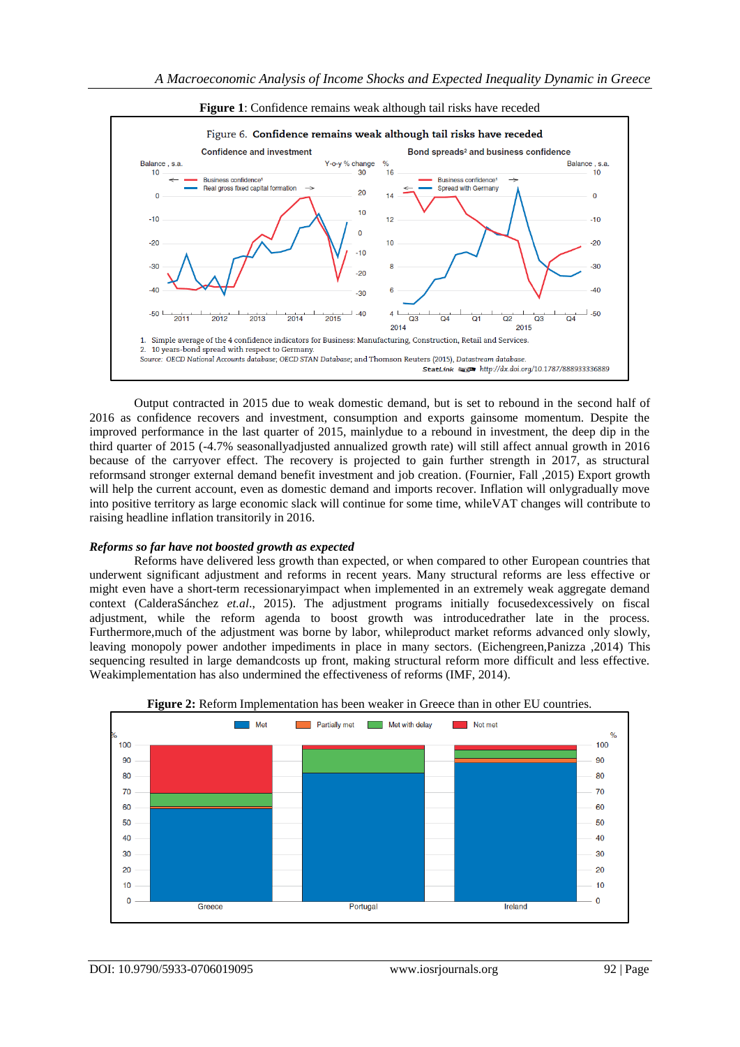

**Figure 1**: Confidence remains weak although tail risks have receded

Output contracted in 2015 due to weak domestic demand, but is set to rebound in the second half of 2016 as confidence recovers and investment, consumption and exports gainsome momentum. Despite the improved performance in the last quarter of 2015, mainlydue to a rebound in investment, the deep dip in the third quarter of 2015 (-4.7% seasonallyadjusted annualized growth rate) will still affect annual growth in 2016 because of the carryover effect. The recovery is projected to gain further strength in 2017, as structural reformsand stronger external demand benefit investment and job creation. (Fournier, Fall ,2015) Export growth will help the current account, even as domestic demand and imports recover. Inflation will only gradually move into positive territory as large economic slack will continue for some time, whileVAT changes will contribute to raising headline inflation transitorily in 2016.

#### *Reforms so far have not boosted growth as expected*

Reforms have delivered less growth than expected, or when compared to other European countries that underwent significant adjustment and reforms in recent years. Many structural reforms are less effective or might even have a short-term recessionaryimpact when implemented in an extremely weak aggregate demand context (CalderaSánchez *et.al*., 2015). The adjustment programs initially focusedexcessively on fiscal adjustment, while the reform agenda to boost growth was introducedrather late in the process. Furthermore,much of the adjustment was borne by labor, whileproduct market reforms advanced only slowly, leaving monopoly power andother impediments in place in many sectors. (Eichengreen,Panizza ,2014) This sequencing resulted in large demandcosts up front, making structural reform more difficult and less effective. Weakimplementation has also undermined the effectiveness of reforms (IMF, 2014).



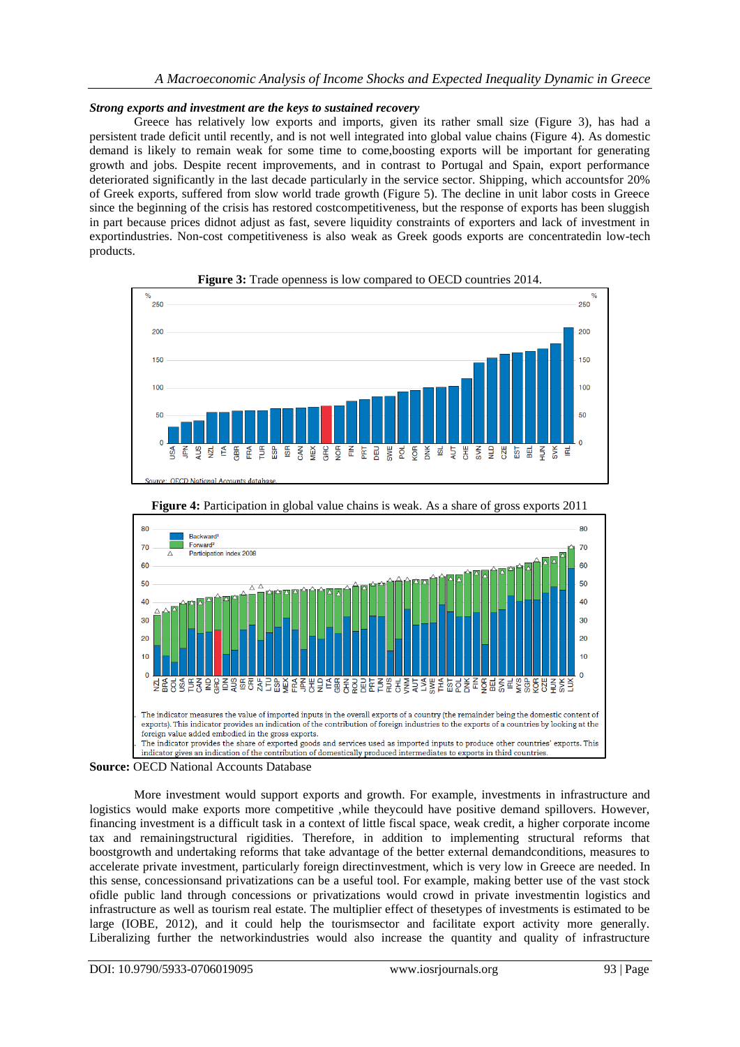## *Strong exports and investment are the keys to sustained recovery*

Greece has relatively low exports and imports, given its rather small size (Figure 3), has had a persistent trade deficit until recently, and is not well integrated into global value chains (Figure 4). As domestic demand is likely to remain weak for some time to come,boosting exports will be important for generating growth and jobs. Despite recent improvements, and in contrast to Portugal and Spain, export performance deteriorated significantly in the last decade particularly in the service sector. Shipping, which accountsfor 20% of Greek exports, suffered from slow world trade growth (Figure 5). The decline in unit labor costs in Greece since the beginning of the crisis has restored costcompetitiveness, but the response of exports has been sluggish in part because prices didnot adjust as fast, severe liquidity constraints of exporters and lack of investment in exportindustries. Non-cost competitiveness is also weak as Greek goods exports are concentratedin low-tech products.







**Figure 4:** Participation in global value chains is weak. As a share of gross exports 2011

**Source:** OECD National Accounts Database

More investment would support exports and growth. For example, investments in infrastructure and logistics would make exports more competitive ,while theycould have positive demand spillovers. However, financing investment is a difficult task in a context of little fiscal space, weak credit, a higher corporate income tax and remainingstructural rigidities. Therefore, in addition to implementing structural reforms that boostgrowth and undertaking reforms that take advantage of the better external demandconditions, measures to accelerate private investment, particularly foreign directinvestment, which is very low in Greece are needed. In this sense, concessionsand privatizations can be a useful tool. For example, making better use of the vast stock ofidle public land through concessions or privatizations would crowd in private investmentin logistics and infrastructure as well as tourism real estate. The multiplier effect of thesetypes of investments is estimated to be large (IOBE, 2012), and it could help the tourismsector and facilitate export activity more generally. Liberalizing further the networkindustries would also increase the quantity and quality of infrastructure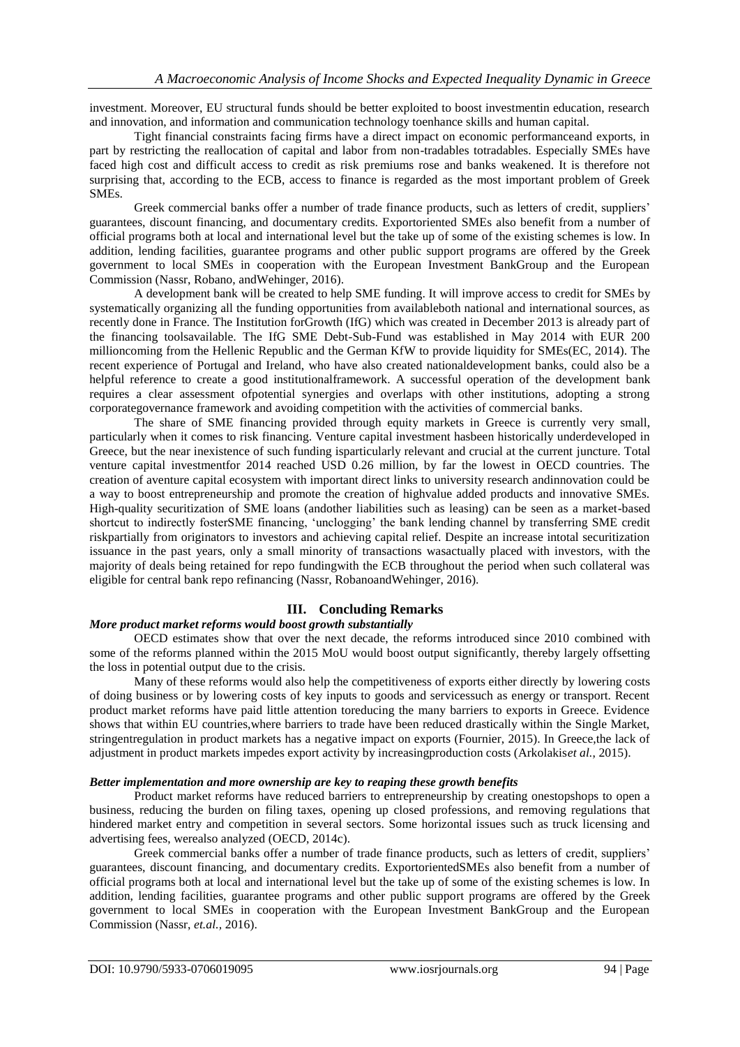investment. Moreover, EU structural funds should be better exploited to boost investmentin education, research and innovation, and information and communication technology toenhance skills and human capital.

Tight financial constraints facing firms have a direct impact on economic performanceand exports, in part by restricting the reallocation of capital and labor from non-tradables totradables. Especially SMEs have faced high cost and difficult access to credit as risk premiums rose and banks weakened. It is therefore not surprising that, according to the ECB, access to finance is regarded as the most important problem of Greek SMEs.

Greek commercial banks offer a number of trade finance products, such as letters of credit, suppliers' guarantees, discount financing, and documentary credits. Exportoriented SMEs also benefit from a number of official programs both at local and international level but the take up of some of the existing schemes is low. In addition, lending facilities, guarantee programs and other public support programs are offered by the Greek government to local SMEs in cooperation with the European Investment BankGroup and the European Commission (Nassr, Robano, andWehinger, 2016).

A development bank will be created to help SME funding. It will improve access to credit for SMEs by systematically organizing all the funding opportunities from availableboth national and international sources, as recently done in France. The Institution forGrowth (IfG) which was created in December 2013 is already part of the financing toolsavailable. The IfG SME Debt-Sub-Fund was established in May 2014 with EUR 200 millioncoming from the Hellenic Republic and the German KfW to provide liquidity for SMEs(EC, 2014). The recent experience of Portugal and Ireland, who have also created nationaldevelopment banks, could also be a helpful reference to create a good institutionalframework. A successful operation of the development bank requires a clear assessment ofpotential synergies and overlaps with other institutions, adopting a strong corporategovernance framework and avoiding competition with the activities of commercial banks.

The share of SME financing provided through equity markets in Greece is currently very small, particularly when it comes to risk financing. Venture capital investment hasbeen historically underdeveloped in Greece, but the near inexistence of such funding isparticularly relevant and crucial at the current juncture. Total venture capital investmentfor 2014 reached USD 0.26 million, by far the lowest in OECD countries. The creation of aventure capital ecosystem with important direct links to university research andinnovation could be a way to boost entrepreneurship and promote the creation of highvalue added products and innovative SMEs. High-quality securitization of SME loans (andother liabilities such as leasing) can be seen as a market-based shortcut to indirectly fosterSME financing, "unclogging" the bank lending channel by transferring SME credit riskpartially from originators to investors and achieving capital relief. Despite an increase intotal securitization issuance in the past years, only a small minority of transactions wasactually placed with investors, with the majority of deals being retained for repo fundingwith the ECB throughout the period when such collateral was eligible for central bank repo refinancing (Nassr, RobanoandWehinger, 2016).

# **III. Concluding Remarks**

### *More product market reforms would boost growth substantially*

OECD estimates show that over the next decade, the reforms introduced since 2010 combined with some of the reforms planned within the 2015 MoU would boost output significantly, thereby largely offsetting the loss in potential output due to the crisis.

Many of these reforms would also help the competitiveness of exports either directly by lowering costs of doing business or by lowering costs of key inputs to goods and servicessuch as energy or transport. Recent product market reforms have paid little attention toreducing the many barriers to exports in Greece. Evidence shows that within EU countries,where barriers to trade have been reduced drastically within the Single Market, stringentregulation in product markets has a negative impact on exports (Fournier, 2015). In Greece,the lack of adjustment in product markets impedes export activity by increasingproduction costs (Arkolakis*et al.*, 2015).

### *Better implementation and more ownership are key to reaping these growth benefits*

Product market reforms have reduced barriers to entrepreneurship by creating onestopshops to open a business, reducing the burden on filing taxes, opening up closed professions, and removing regulations that hindered market entry and competition in several sectors. Some horizontal issues such as truck licensing and advertising fees, werealso analyzed (OECD, 2014c).

Greek commercial banks offer a number of trade finance products, such as letters of credit, suppliers' guarantees, discount financing, and documentary credits. ExportorientedSMEs also benefit from a number of official programs both at local and international level but the take up of some of the existing schemes is low. In addition, lending facilities, guarantee programs and other public support programs are offered by the Greek government to local SMEs in cooperation with the European Investment BankGroup and the European Commission (Nassr, *et.al.,* 2016).